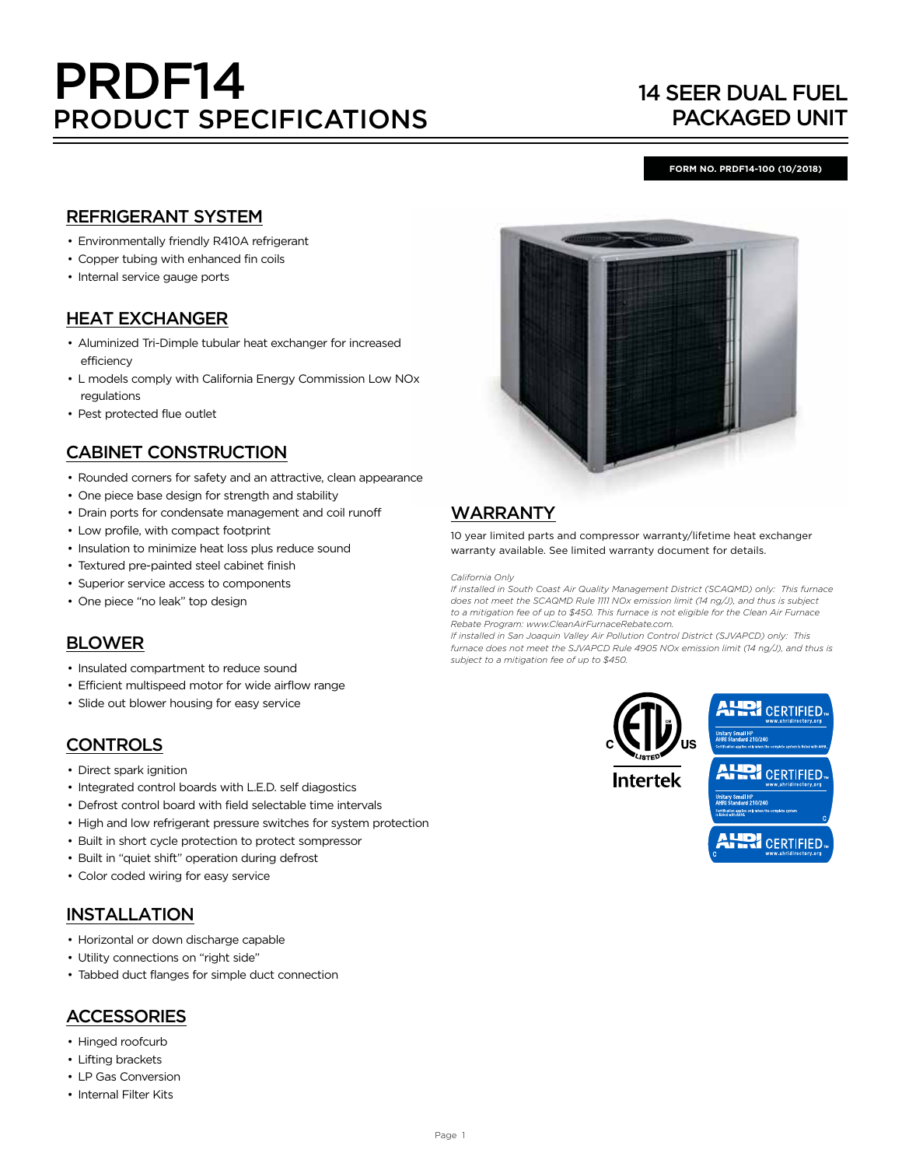# PRDF14 PRODUCT SPECIFICATIONS

## 14 SEER DUAL FUEL PACKAGED UNIT

#### **FORM NO. PRDF14-100 (10/2018)**

## REFRIGERANT SYSTEM

- Environmentally friendly R410A refrigerant
- Copper tubing with enhanced fin coils
- Internal service gauge ports

## HEAT EXCHANGER

- Aluminized Tri-Dimple tubular heat exchanger for increased efficiency
- L models comply with California Energy Commission Low NOx regulations
- Pest protected flue outlet

## CABINET CONSTRUCTION

- Rounded corners for safety and an attractive, clean appearance
- One piece base design for strength and stability
- Drain ports for condensate management and coil runoff
- Low profile, with compact footprint
- Insulation to minimize heat loss plus reduce sound
- Textured pre-painted steel cabinet finish
- Superior service access to components
- One piece "no leak" top design

## BLOWER

- Insulated compartment to reduce sound
- Efficient multispeed motor for wide airflow range
- Slide out blower housing for easy service

## **CONTROLS**

- Direct spark ignition
- Integrated control boards with L.E.D. self diagostics
- Defrost control board with field selectable time intervals
- High and low refrigerant pressure switches for system protection
- Built in short cycle protection to protect sompressor
- Built in "quiet shift" operation during defrost
- Color coded wiring for easy service

## INSTALLATION

- Horizontal or down discharge capable
- Utility connections on "right side"
- Tabbed duct flanges for simple duct connection

## **ACCESSORIES**

- Hinged roofcurb
- Lifting brackets
- LP Gas Conversion
- Internal Filter Kits



## WARRANTY

10 year limited parts and compressor warranty/lifetime heat exchanger warranty available. See limited warranty document for details.

*California Only*

*If installed in South Coast Air Quality Management District (SCAQMD) only: This furnace does not meet the SCAQMD Rule 1111 NOx emission limit (14 ng/J), and thus is subject to a mitigation fee of up to \$450. This furnace is not eligible for the Clean Air Furnace Rebate Program: www.CleanAirFurnaceRebate.com.* 

*If installed in San Joaquin Valley Air Pollution Control District (SJVAPCD) only: This furnace does not meet the SJVAPCD Rule 4905 NOx emission limit (14 ng/J), and thus is subject to a mitigation fee of up to \$450.*



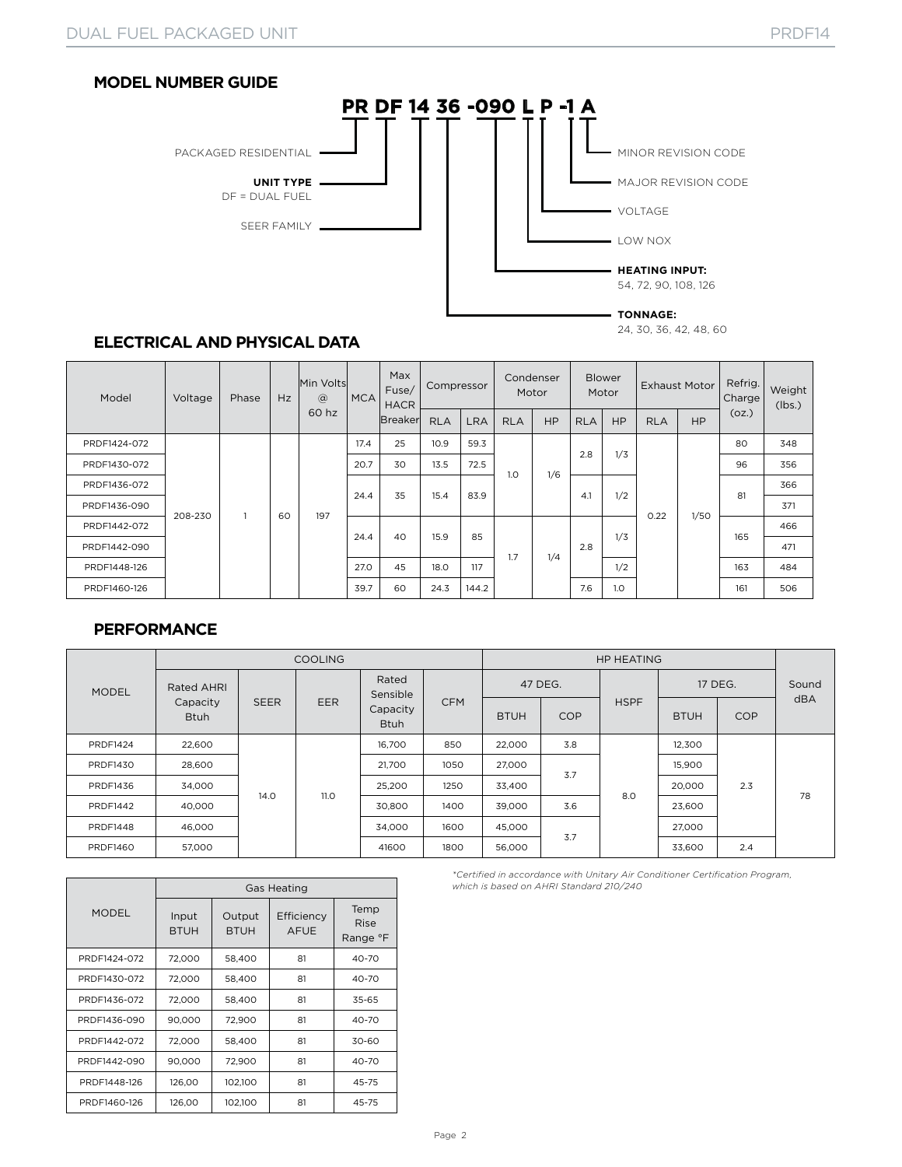



24, 30, 36, 42, 48, 60

## **ELECTRICAL AND PHYSICAL DATA**

| Model        | Voltage | Phase | Hz | Min Volts<br>$\circleda$<br>60 hz | MCA  | Max<br>Fuse/<br><b>HACR</b> | Compressor |       | Condenser<br>Motor |           | <b>Blower</b><br>Motor |           | <b>Exhaust Motor</b> |           | Refrig.<br>Charge | Weight<br>(lbs.) |
|--------------|---------|-------|----|-----------------------------------|------|-----------------------------|------------|-------|--------------------|-----------|------------------------|-----------|----------------------|-----------|-------------------|------------------|
|              |         |       |    |                                   |      | <b>Breaker</b>              | <b>RLA</b> | LRA   | <b>RLA</b>         | <b>HP</b> | <b>RLA</b>             | <b>HP</b> | <b>RLA</b>           | <b>HP</b> | (oz.)             |                  |
| PRDF1424-072 |         |       |    |                                   | 17.4 | 25                          | 10.9       | 59.3  | 1.0                | 1/6       | 2.8                    | 1/3       |                      |           | 80                | 348              |
| PRDF1430-072 |         |       |    |                                   | 20.7 | 30                          | 13.5       | 72.5  |                    |           |                        |           |                      |           | 96                | 356              |
| PRDF1436-072 |         |       |    |                                   | 24.4 | 35                          | 15.4       | 83.9  |                    |           | 4.1                    | 1/2       |                      |           | 81                | 366              |
| PRDF1436-090 | 208-230 |       | 60 | 197                               |      |                             |            |       |                    |           |                        |           | 0.22                 | 1/50      |                   | 371              |
| PRDF1442-072 |         |       |    |                                   | 24.4 | 40                          | 15.9       | 85    |                    |           |                        | 1/3       |                      |           | 165               | 466              |
| PRDF1442-090 |         |       |    |                                   |      |                             |            |       | 1.7                | 1/4       | 2.8                    |           |                      |           |                   | 471              |
| PRDF1448-126 |         |       |    |                                   | 27.0 | 45                          | 18.0       | 117   |                    |           |                        | 1/2       |                      |           | 163               | 484              |
| PRDF1460-126 |         |       |    |                                   | 39.7 | 60                          | 24.3       | 144.2 |                    |           | 7.6                    | 1.0       |                      |           | 161               | 506              |

#### **PERFORMANCE**

|                 |                         |             | <b>COOLING</b> |                         |            |             |                          |             |                                     |     |       |
|-----------------|-------------------------|-------------|----------------|-------------------------|------------|-------------|--------------------------|-------------|-------------------------------------|-----|-------|
| <b>MODEL</b>    | Rated AHRI              |             |                | Rated<br>Sensible       |            | 47 DEG.     |                          |             | 17 DEG.                             |     | Sound |
|                 | Capacity<br><b>Btuh</b> | <b>SEER</b> | <b>EER</b>     | Capacity<br><b>Btuh</b> | <b>CFM</b> | <b>BTUH</b> | <b>COP</b>               | <b>HSPF</b> | <b>COP</b><br><b>BTUH</b><br>12,300 | dBA |       |
| <b>PRDF1424</b> | 22,600                  |             |                | 16.700                  | 850        | 22,000      | 3.8<br>3.7<br>3.6<br>3.7 |             |                                     | 2.3 | 78    |
| <b>PRDF1430</b> | 28,600                  |             |                | 21.700                  | 1050       | 27,000      |                          |             | 15,900                              |     |       |
| PRDF1436        | 34,000                  |             |                | 25,200                  | 1250       | 33,400      |                          | 8.0         | 20,000                              |     |       |
| <b>PRDF1442</b> | 40,000                  | 14.0        | 11.0           | 30,800                  | 1400       | 39,000      |                          |             | 23,600                              |     |       |
| <b>PRDF1448</b> | 46,000                  |             |                | 34.000                  | 1600       | 45,000      |                          |             | 27,000                              |     |       |
| <b>PRDF1460</b> | 57,000                  |             |                | 41600                   | 1800       | 56,000      |                          |             | 33,600                              | 2.4 |       |

|              |                      | <b>Gas Heating</b>    |                           |                                 |  |  |  |  |  |  |  |
|--------------|----------------------|-----------------------|---------------------------|---------------------------------|--|--|--|--|--|--|--|
| <b>MODEL</b> | Input<br><b>BTUH</b> | Output<br><b>BTUH</b> | Efficiency<br><b>AFUE</b> | Temp<br><b>Rise</b><br>Range °F |  |  |  |  |  |  |  |
| PRDF1424-072 | 72,000               | 58,400                | 81                        | 40-70                           |  |  |  |  |  |  |  |
| PRDF1430-072 | 72.000               | 58,400                | 81                        | 40-70                           |  |  |  |  |  |  |  |
| PRDF1436-072 | 72,000               | 58,400                | 81                        | 35-65                           |  |  |  |  |  |  |  |
| PRDF1436-090 | 90,000               | 72,900                | 81                        | 40-70                           |  |  |  |  |  |  |  |
| PRDF1442-072 | 72.000               | 58,400                | 81                        | 30-60                           |  |  |  |  |  |  |  |
| PRDF1442-090 | 90,000               | 72,900                | 81                        | 40-70                           |  |  |  |  |  |  |  |
| PRDF1448-126 | 126.00               | 102.100               | 81                        | 45-75                           |  |  |  |  |  |  |  |
| PRDF1460-126 | 126,00               | 102,100               | 81                        | 45-75                           |  |  |  |  |  |  |  |

*\*Certified in accordance with Unitary Air Conditioner Certification Program, which is based on AHRI Standard 210/240*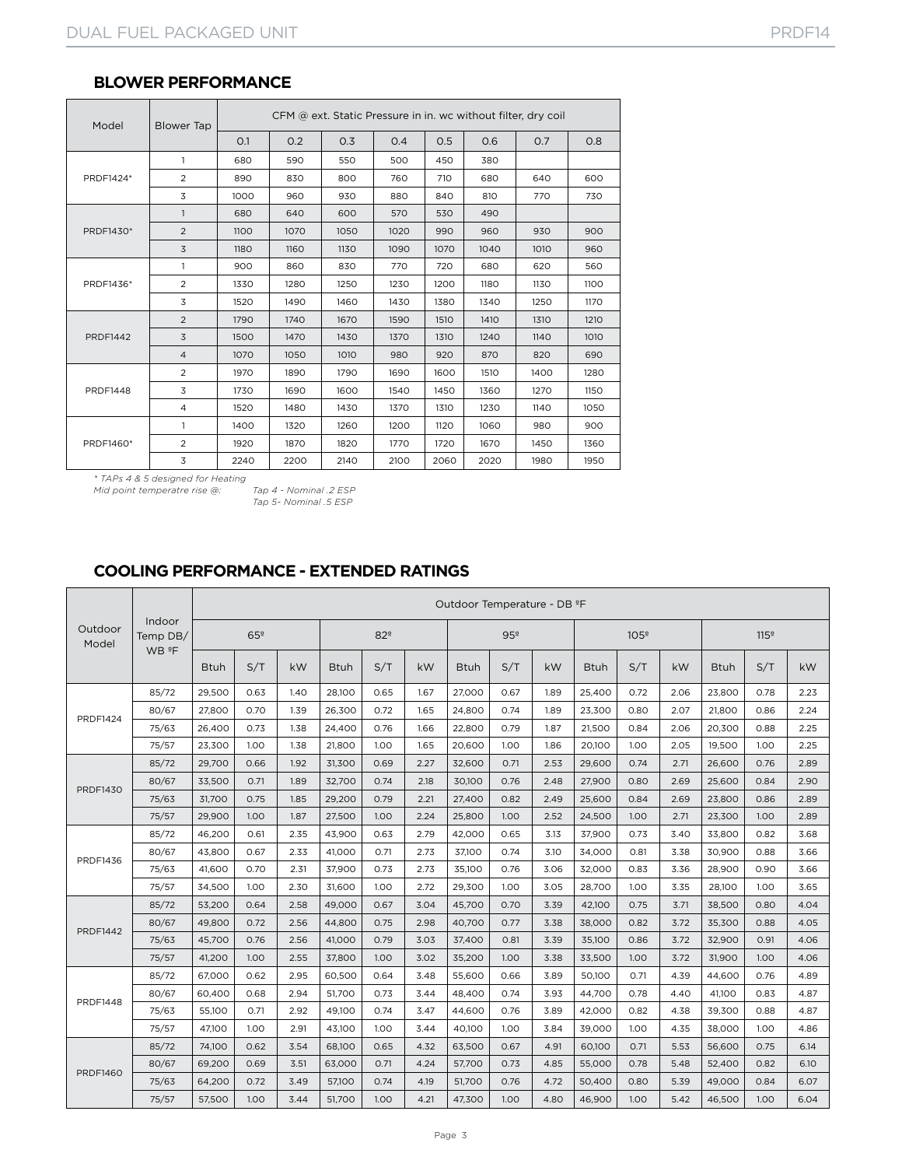| Model           | Blower Tap     | CFM @ ext. Static Pressure in in. wc without filter, dry coil |      |      |      |      |      |                                                                                                                               |      |  |  |  |
|-----------------|----------------|---------------------------------------------------------------|------|------|------|------|------|-------------------------------------------------------------------------------------------------------------------------------|------|--|--|--|
|                 |                | O.1                                                           | 0.2  | O.3  | O.4  | 0.5  | O.6  | O.7<br>640<br>770<br>930<br>1010<br>620<br>1130<br>1250<br>1310<br>1140<br>820<br>1400<br>1270<br>1140<br>980<br>1450<br>1980 | 0.8  |  |  |  |
|                 | $\mathbf{1}$   | 680                                                           | 590  | 550  | 500  | 450  | 380  |                                                                                                                               |      |  |  |  |
| PRDF1424*       | 2              | 890                                                           | 830  | 800  | 760  | 710  | 680  |                                                                                                                               | 600  |  |  |  |
|                 | 3              | 1000                                                          | 960  | 930  | 880  | 840  | 810  |                                                                                                                               | 730  |  |  |  |
|                 | $\mathbf{1}$   | 680                                                           | 640  | 600  | 570  | 530  | 490  |                                                                                                                               |      |  |  |  |
| PRDF1430*       | 2              | 1100                                                          | 1070 | 1050 | 1020 | 990  | 960  |                                                                                                                               | 900  |  |  |  |
|                 | 3              | 1180                                                          | 1160 | 1130 | 1090 | 1070 | 1040 |                                                                                                                               | 960  |  |  |  |
| PRDF1436*       | 1              | 900                                                           | 860  | 830  | 770  | 720  | 680  |                                                                                                                               | 560  |  |  |  |
|                 | 2              | 1330                                                          | 1280 | 1250 | 1230 | 1200 | 1180 |                                                                                                                               | 1100 |  |  |  |
|                 | 3              | 1520                                                          | 1490 | 1460 | 1430 | 1380 | 1340 |                                                                                                                               | 1170 |  |  |  |
|                 | $\overline{2}$ | 1790                                                          | 1740 | 1670 | 1590 | 1510 | 1410 |                                                                                                                               | 1210 |  |  |  |
| <b>PRDF1442</b> | 3              | 1500                                                          | 1470 | 1430 | 1370 | 1310 | 1240 |                                                                                                                               | 1010 |  |  |  |
|                 | $\overline{4}$ | 1070                                                          | 1050 | 1010 | 980  | 920  | 870  |                                                                                                                               | 690  |  |  |  |
|                 | $\overline{2}$ | 1970                                                          | 1890 | 1790 | 1690 | 1600 | 1510 |                                                                                                                               | 1280 |  |  |  |
| <b>PRDF1448</b> | 3              | 1730                                                          | 1690 | 1600 | 1540 | 1450 | 1360 |                                                                                                                               | 1150 |  |  |  |
|                 | $\overline{4}$ | 1520                                                          | 1480 | 1430 | 1370 | 1310 | 1230 |                                                                                                                               | 1050 |  |  |  |
|                 | 1              | 1400                                                          | 1320 | 1260 | 1200 | 1120 | 1060 |                                                                                                                               | 900  |  |  |  |
| PRDF1460*       | 2              | 1920                                                          | 1870 | 1820 | 1770 | 1720 | 1670 |                                                                                                                               | 1360 |  |  |  |
|                 | 3              | 2240                                                          | 2200 | 2140 | 2100 | 2060 | 2020 |                                                                                                                               | 1950 |  |  |  |

#### **BLOWER PERFORMANCE**

*\* TAPs 4 & 5 designed for Heating*

*Mid point temperatre rise* @:

*Tap 5- Nominal .5 ESP*

## **COOLING PERFORMANCE - EXTENDED RATINGS**

|                                                                                      |                             |                 |      |      |             |                 |      | Outdoor Temperature - DB ºF |                 |      |             |                  |      |             |                  |      |  |
|--------------------------------------------------------------------------------------|-----------------------------|-----------------|------|------|-------------|-----------------|------|-----------------------------|-----------------|------|-------------|------------------|------|-------------|------------------|------|--|
| Outdoor<br>Model                                                                     | Indoor<br>Temp DB/<br>WB ºF | 65 <sup>°</sup> |      |      |             | 82 <sup>°</sup> |      |                             | 95 <sup>°</sup> |      |             | 105 <sup>°</sup> |      |             | 115 <sup>°</sup> |      |  |
|                                                                                      |                             | <b>Btuh</b>     | S/T  | kW   | <b>Btuh</b> | S/T             | kW   | <b>Btuh</b>                 | S/T             | kW   | <b>Btuh</b> | S/T              | kW   | <b>Btuh</b> | S/T              | kW   |  |
|                                                                                      | 85/72                       | 29,500          | 0.63 | 1.40 | 28,100      | 0.65            | 1.67 | 27,000                      | 0.67            | 1.89 | 25,400      | 0.72             | 2.06 | 23,800      | 0.78             | 2.23 |  |
| <b>PRDF1424</b>                                                                      | 80/67                       | 27,800          | 0.70 | 1.39 | 26.300      | 0.72            | 1.65 | 24.800                      | 0.74            | 1.89 | 23.300      | 0.80             | 2.07 | 21.800      | 0.86             | 2.24 |  |
|                                                                                      | 75/63                       | 26,400          | 0.73 | 1.38 | 24,400      | 0.76            | 1.66 | 22,800                      | 0.79            | 1.87 | 21,500      | 0.84             | 2.06 | 20,300      | 0.88             | 2.25 |  |
| <b>PRDF1430</b><br>PRDF1436<br><b>PRDF1442</b><br><b>PRDF1448</b><br><b>PRDF1460</b> | 75/57                       | 23,300          | 1.00 | 1.38 | 21,800      | 1.00            | 1.65 | 20,600                      | 1.00            | 1.86 | 20.100      | 1.00             | 2.05 | 19,500      | 1.00             | 2.25 |  |
|                                                                                      | 85/72                       | 29.700          | 0.66 | 1.92 | 31,300      | 0.69            | 2.27 | 32.600                      | 0.71            | 2.53 | 29.600      | 0.74             | 2.71 | 26.600      | 0.76             | 2.89 |  |
|                                                                                      | 80/67                       | 33.500          | 0.71 | 1.89 | 32.700      | 0.74            | 2.18 | 30,100                      | 0.76            | 2.48 | 27,900      | 0.80             | 2.69 | 25,600      | 0.84             | 2.90 |  |
|                                                                                      | 75/63                       | 31,700          | 0.75 | 1.85 | 29,200      | 0.79            | 2.21 | 27,400                      | 0.82            | 2.49 | 25,600      | 0.84             | 2.69 | 23,800      | 0.86             | 2.89 |  |
|                                                                                      | 75/57                       | 29.900          | 1.00 | 1.87 | 27,500      | 1.00            | 2.24 | 25,800                      | 1.00            | 2.52 | 24,500      | 1.00             | 2.71 | 23,300      | 1.00             | 2.89 |  |
|                                                                                      | 85/72                       | 46,200          | 0.61 | 2.35 | 43.900      | 0.63            | 2.79 | 42.000                      | 0.65            | 3.13 | 37.900      | 0.73             | 3.40 | 33.800      | 0.82             | 3.68 |  |
|                                                                                      | 80/67                       | 43,800          | 0.67 | 2.33 | 41,000      | 0.71            | 2.73 | 37,100                      | 0.74            | 3.10 | 34,000      | 0.81             | 3.38 | 30,900      | 0.88             | 3.66 |  |
|                                                                                      | 75/63                       | 41,600          | 0.70 | 2.31 | 37,900      | 0.73            | 2.73 | 35,100                      | 0.76            | 3.06 | 32,000      | 0.83             | 3.36 | 28,900      | 0.90             | 3.66 |  |
|                                                                                      | 75/57                       | 34,500          | 1.00 | 2.30 | 31,600      | 1.00            | 2.72 | 29,300                      | 1.00            | 3.05 | 28.700      | 1.00             | 3.35 | 28,100      | 1.00             | 3.65 |  |
|                                                                                      | 85/72                       | 53.200          | 0.64 | 2.58 | 49.000      | 0.67            | 3.04 | 45.700                      | 0.70            | 3.39 | 42.100      | 0.75             | 3.71 | 38,500      | 0.80             | 4.04 |  |
|                                                                                      | 80/67                       | 49,800          | 0.72 | 2.56 | 44,800      | 0.75            | 2.98 | 40,700                      | 0.77            | 3.38 | 38,000      | 0.82             | 3.72 | 35,300      | 0.88             | 4.05 |  |
|                                                                                      | 75/63                       | 45.700          | 0.76 | 2.56 | 41.000      | 0.79            | 3.03 | 37,400                      | 0.81            | 3.39 | 35.100      | 0.86             | 3.72 | 32.900      | 0.91             | 4.06 |  |
|                                                                                      | 75/57                       | 41.200          | 1.00 | 2.55 | 37.800      | 1.00            | 3.02 | 35,200                      | 1.00            | 3.38 | 33,500      | 1.00             | 3.72 | 31.900      | 1.00             | 4.06 |  |
|                                                                                      | 85/72                       | 67,000          | 0.62 | 2.95 | 60,500      | 0.64            | 3.48 | 55,600                      | 0.66            | 3.89 | 50,100      | 0.71             | 4.39 | 44,600      | 0.76             | 4.89 |  |
|                                                                                      | 80/67                       | 60,400          | 0.68 | 2.94 | 51,700      | 0.73            | 3.44 | 48,400                      | 0.74            | 3.93 | 44,700      | 0.78             | 4.40 | 41,100      | 0.83             | 4.87 |  |
|                                                                                      | 75/63                       | 55,100          | 0.71 | 2.92 | 49.100      | 0.74            | 3.47 | 44,600                      | 0.76            | 3.89 | 42.000      | 0.82             | 4.38 | 39,300      | 0.88             | 4.87 |  |
|                                                                                      | 75/57                       | 47.100          | 1.00 | 2.91 | 43.100      | 1.00            | 3.44 | 40.100                      | 1.00            | 3.84 | 39.000      | 1.00             | 4.35 | 38.000      | 1.00             | 4.86 |  |
|                                                                                      | 85/72                       | 74,100          | 0.62 | 3.54 | 68,100      | 0.65            | 4.32 | 63,500                      | 0.67            | 4.91 | 60,100      | 0.71             | 5.53 | 56,600      | 0.75             | 6.14 |  |
|                                                                                      | 80/67                       | 69,200          | 0.69 | 3.51 | 63,000      | 0.71            | 4.24 | 57,700                      | 0.73            | 4.85 | 55,000      | 0.78             | 5.48 | 52,400      | 0.82             | 6.10 |  |
|                                                                                      | 75/63                       | 64,200          | 0.72 | 3.49 | 57.100      | 0.74            | 4.19 | 51,700                      | 0.76            | 4.72 | 50.400      | 0.80             | 5.39 | 49.000      | 0.84             | 6.07 |  |
|                                                                                      | 75/57                       | 57,500          | 1.00 | 3.44 | 51.700      | 1.00            | 4.21 | 47.300                      | 1.00            | 4.80 | 46.900      | 1.00             | 5.42 | 46.500      | 1.00             | 6.04 |  |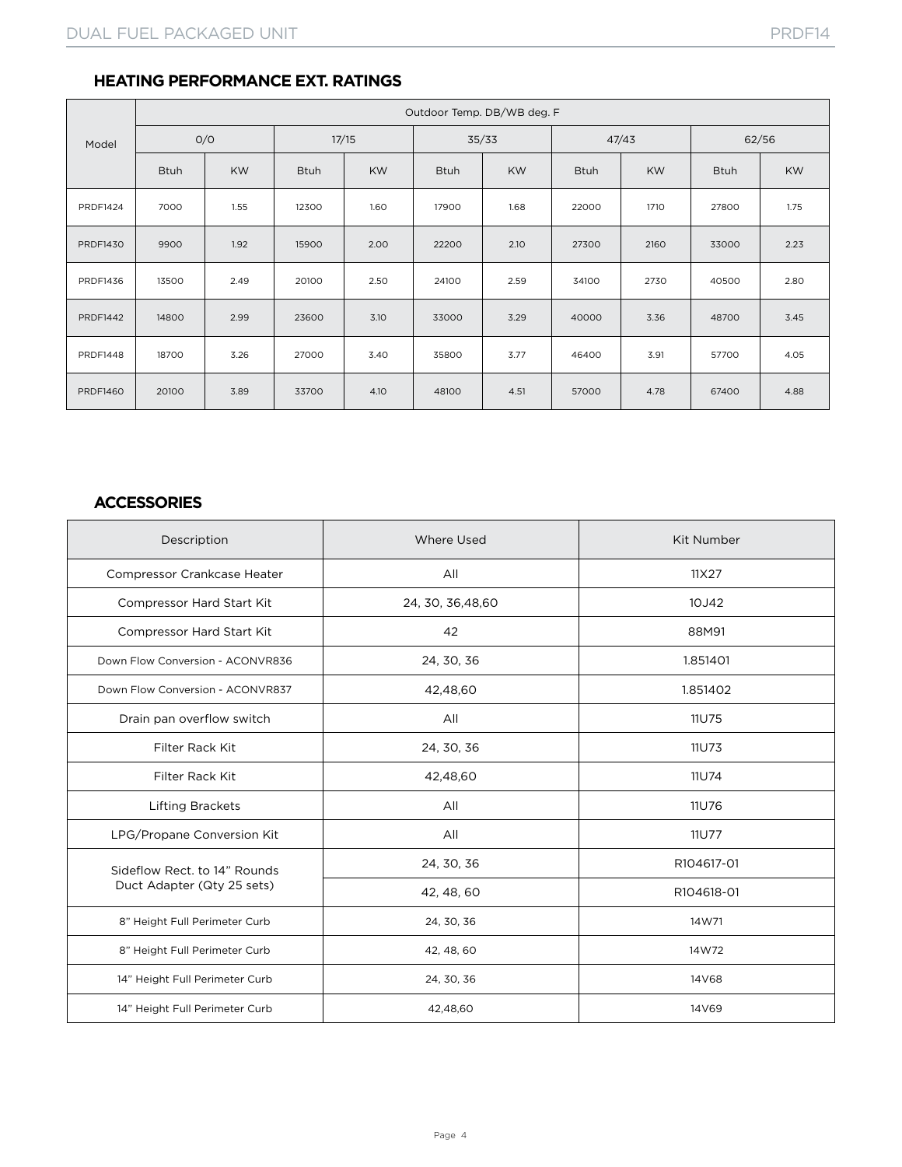## **HEATING PERFORMANCE EXT. RATINGS**

|                 |             |           |             |           | Outdoor Temp. DB/WB deg. F |           |             |           |             |           |  |  |  |
|-----------------|-------------|-----------|-------------|-----------|----------------------------|-----------|-------------|-----------|-------------|-----------|--|--|--|
| Model           | O/O         |           | 17/15       |           |                            | 35/33     |             | 47/43     | 62/56       |           |  |  |  |
|                 | <b>Btuh</b> | <b>KW</b> | <b>Btuh</b> | <b>KW</b> | <b>Btuh</b>                | <b>KW</b> | <b>Btuh</b> | <b>KW</b> | <b>Btuh</b> | <b>KW</b> |  |  |  |
| <b>PRDF1424</b> | 7000        | 1.55      | 12300       | 1.60      | 17900                      | 1.68      | 22000       | 1710      | 27800       | 1.75      |  |  |  |
| <b>PRDF1430</b> | 9900        | 1.92      | 15900       | 2.00      | 22200                      | 2.10      | 27300       | 2160      | 33000       | 2.23      |  |  |  |
| PRDF1436        | 13500       | 2.49      | 20100       | 2.50      | 24100                      | 2.59      | 34100       | 2730      | 40500       | 2.80      |  |  |  |
| <b>PRDF1442</b> | 14800       | 2.99      | 23600       | 3.10      | 33000                      | 3.29      | 40000       | 3.36      | 48700       | 3.45      |  |  |  |
| <b>PRDF1448</b> | 18700       | 3.26      | 27000       | 3.40      | 35800                      | 3.77      | 46400       | 3.91      | 57700       | 4.05      |  |  |  |
| <b>PRDF1460</b> | 20100       | 3.89      | 33700       | 4.10      | 48100                      | 4.51      | 57000       | 4.78      | 67400       | 4.88      |  |  |  |

## **ACCESSORIES**

| Description                        | <b>Where Used</b>  | <b>Kit Number</b> |
|------------------------------------|--------------------|-------------------|
| <b>Compressor Crankcase Heater</b> | All                | 11X27             |
| Compressor Hard Start Kit          | 24, 30, 36, 48, 60 | 10J42             |
| Compressor Hard Start Kit          | 42                 | 88M91             |
| Down Flow Conversion - ACONVR836   | 24, 30, 36         | 1.851401          |
| Down Flow Conversion - ACONVR837   | 42,48,60           | 1.851402          |
| Drain pan overflow switch          | All                | 11U75             |
| Filter Rack Kit                    | 24, 30, 36         | 11U73             |
| Filter Rack Kit                    | 42,48,60           | 11U74             |
| <b>Lifting Brackets</b>            | All                | 11U76             |
| LPG/Propane Conversion Kit         | All                | 11U77             |
| Sideflow Rect. to 14" Rounds       | 24, 30, 36         | R104617-01        |
| Duct Adapter (Qty 25 sets)         | 42, 48, 60         | R104618-01        |
| 8" Height Full Perimeter Curb      | 24, 30, 36         | 14W71             |
| 8" Height Full Perimeter Curb      | 42, 48, 60         | 14W72             |
| 14" Height Full Perimeter Curb     | 24, 30, 36         | 14V68             |
| 14" Height Full Perimeter Curb     | 42,48,60           | 14V69             |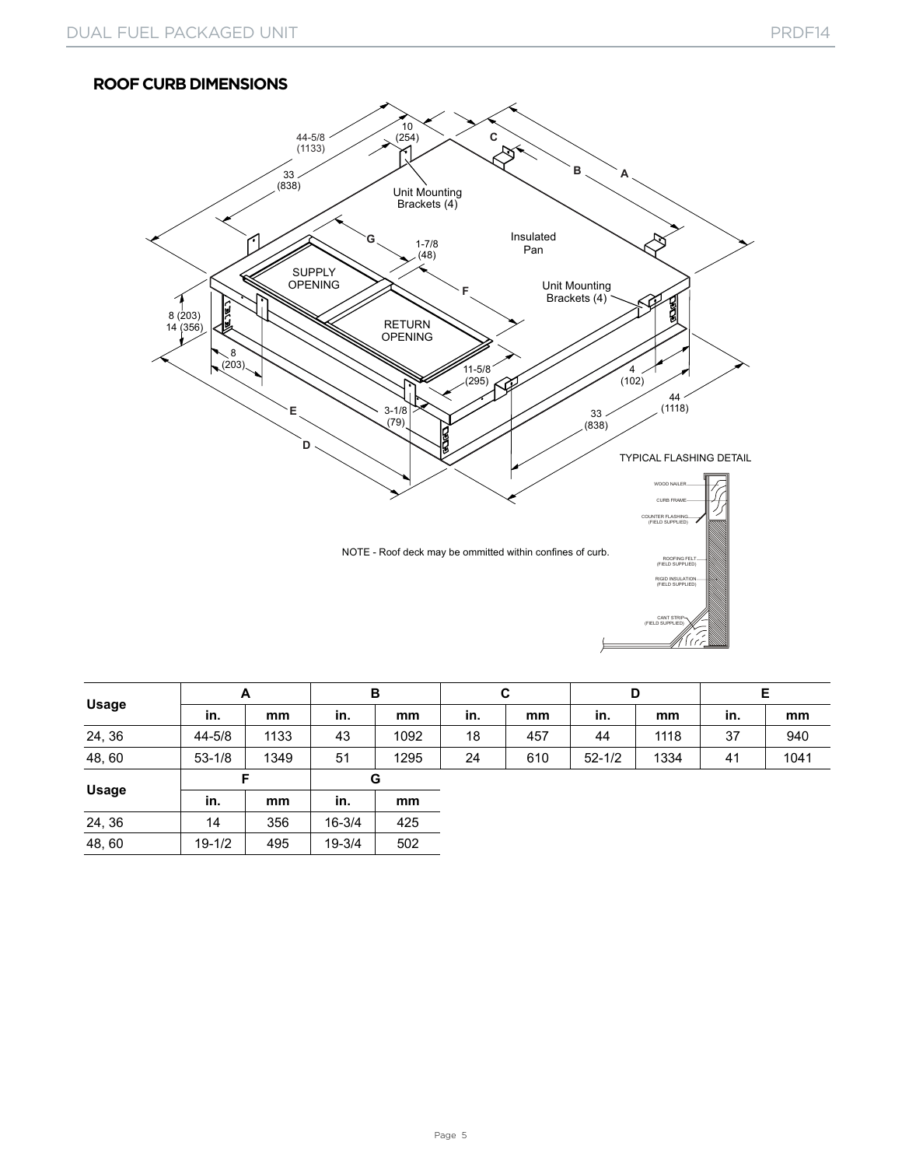#### **ROOF CURB DIMENSIONS**



| <b>Usage</b> | A          |      | в          |      |     | C   |            | D    | Е   |      |  |
|--------------|------------|------|------------|------|-----|-----|------------|------|-----|------|--|
|              | in.        | mm   | in.        | mm   | in. | mm  | in.        | mm   | in. | mm   |  |
| 24, 36       | 44-5/8     | 1133 | 43         | 1092 | 18  | 457 | 44         | 1118 | 37  | 940  |  |
| 48,60        | $53 - 1/8$ | 1349 | 51         | 1295 | 24  | 610 | $52 - 1/2$ | 1334 | 41  | 1041 |  |
|              | F          |      | G          |      |     |     |            |      |     |      |  |
| <b>Usage</b> | in.        | mm   | in.        | mm   |     |     |            |      |     |      |  |
| 24, 36       | 14         | 356  | $16 - 3/4$ | 425  |     |     |            |      |     |      |  |
| 48,60        | $19 - 1/2$ | 495  | 19-3/4     | 502  |     |     |            |      |     |      |  |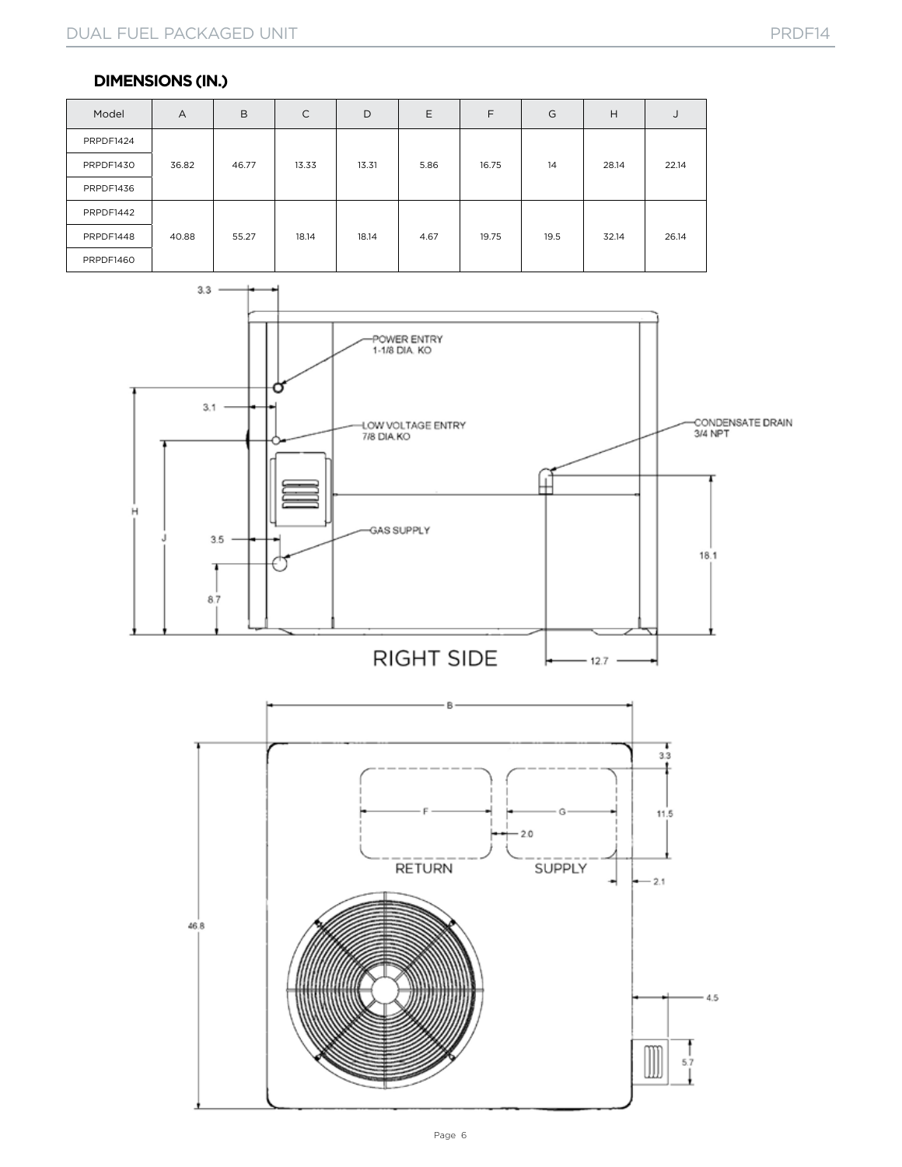#### **DIMENSIONS (IN.)**

| Model     | $\overline{A}$ | B     | $\mathsf{C}$ | D     | Ε    | F     | G    | H     | J     |
|-----------|----------------|-------|--------------|-------|------|-------|------|-------|-------|
| PRPDF1424 |                |       |              |       |      |       |      |       |       |
| PRPDF1430 | 36.82          | 46.77 | 13.33        | 13.31 | 5.86 | 16.75 | 14   | 28.14 | 22.14 |
| PRPDF1436 |                |       |              |       |      |       |      |       |       |
| PRPDF1442 |                |       |              |       |      |       |      |       |       |
| PRPDF1448 | 40.88          | 55.27 | 18.14        | 18.14 | 4.67 | 19.75 | 19.5 | 32.14 | 26.14 |
| PRPDF1460 |                |       |              |       |      |       |      |       |       |

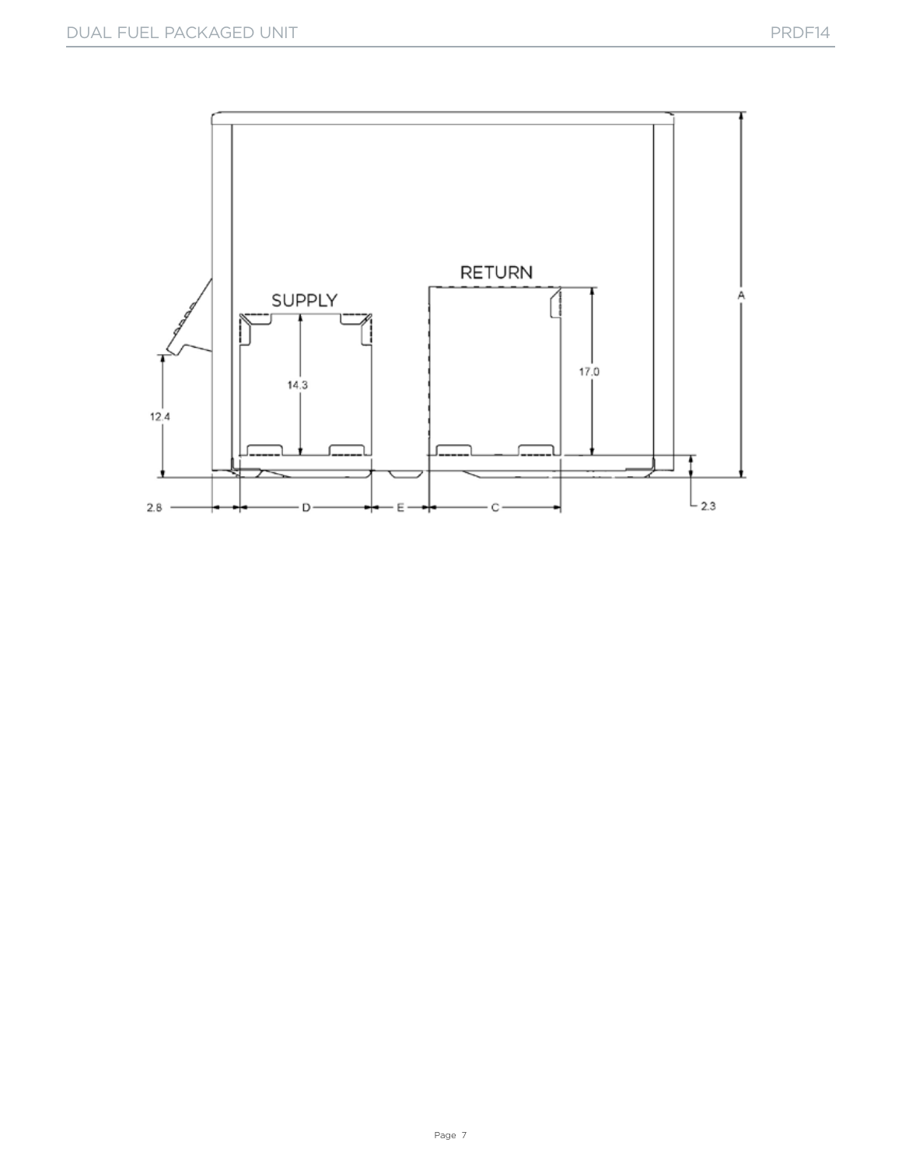